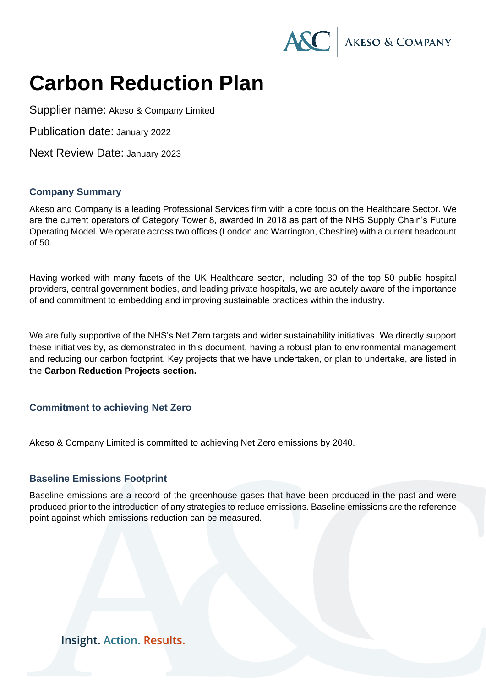

# **Carbon Reduction Plan**

Supplier name: Akeso & Company Limited

Publication date: January 2022

Next Review Date: January 2023

#### **Company Summary**

Akeso and Company is a leading Professional Services firm with a core focus on the Healthcare Sector. We are the current operators of Category Tower 8, awarded in 2018 as part of the NHS Supply Chain's Future Operating Model. We operate across two offices (London and Warrington, Cheshire) with a current headcount of 50.

Having worked with many facets of the UK Healthcare sector, including 30 of the top 50 public hospital providers, central government bodies, and leading private hospitals, we are acutely aware of the importance of and commitment to embedding and improving sustainable practices within the industry.

We are fully supportive of the NHS's Net Zero targets and wider sustainability initiatives. We directly support these initiatives by, as demonstrated in this document, having a robust plan to environmental management and reducing our carbon footprint. Key projects that we have undertaken, or plan to undertake, are listed in the **Carbon Reduction Projects section.**

## **Commitment to achieving Net Zero**

Akeso & Company Limited is committed to achieving Net Zero emissions by 2040.

#### **Baseline Emissions Footprint**

Baseline emissions are a record of the greenhouse gases that have been produced in the past and were produced prior to the introduction of any strategies to reduce emissions. Baseline emissions are the reference point against which emissions reduction can be measured.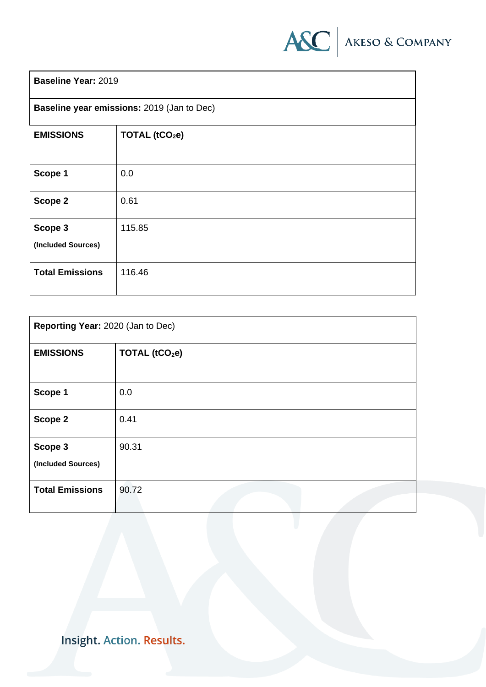

| <b>Baseline Year: 2019</b>                 |                            |  |
|--------------------------------------------|----------------------------|--|
| Baseline year emissions: 2019 (Jan to Dec) |                            |  |
| <b>EMISSIONS</b>                           | TOTAL (tCO <sub>2</sub> e) |  |
| Scope 1                                    | 0.0                        |  |
| Scope 2                                    | 0.61                       |  |
| Scope 3<br>(Included Sources)              | 115.85                     |  |
| <b>Total Emissions</b>                     | 116.46                     |  |

| Reporting Year: 2020 (Jan to Dec) |                            |  |
|-----------------------------------|----------------------------|--|
| <b>EMISSIONS</b>                  | TOTAL (tCO <sub>2</sub> e) |  |
|                                   |                            |  |
| Scope 1                           | 0.0                        |  |
| Scope 2                           | 0.41                       |  |
| Scope 3<br>(Included Sources)     | 90.31                      |  |
| <b>Total Emissions</b>            | 90.72                      |  |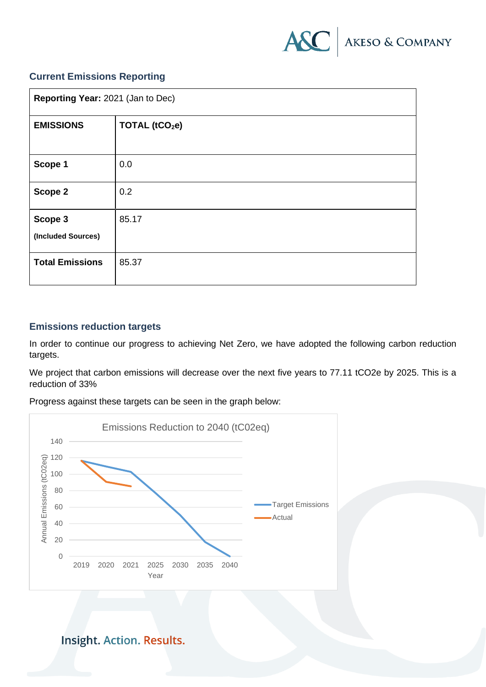

## **Current Emissions Reporting**

| Reporting Year: 2021 (Jan to Dec) |                            |  |
|-----------------------------------|----------------------------|--|
| <b>EMISSIONS</b>                  | TOTAL (tCO <sub>2</sub> e) |  |
| Scope 1                           | 0.0                        |  |
| Scope 2                           | 0.2                        |  |
| Scope 3<br>(Included Sources)     | 85.17                      |  |
| <b>Total Emissions</b>            | 85.37                      |  |

## **Emissions reduction targets**

In order to continue our progress to achieving Net Zero, we have adopted the following carbon reduction targets.

We project that carbon emissions will decrease over the next five years to 77.11 tCO2e by 2025. This is a reduction of 33%

Progress against these targets can be seen in the graph below:

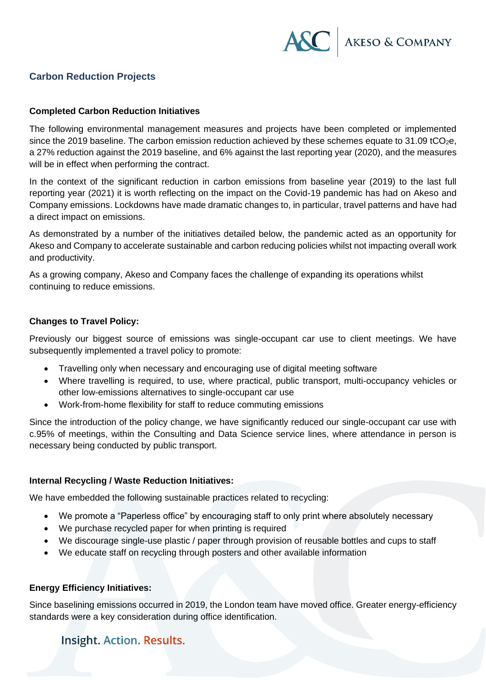

# **Carbon Reduction Projects**

#### **Completed Carbon Reduction Initiatives**

The following environmental management measures and projects have been completed or implemented since the 2019 baseline. The carbon emission reduction achieved by these schemes equate to 31.09 tCO<sub>2</sub>e, a 27% reduction against the 2019 baseline, and 6% against the last reporting year (2020), and the measures will be in effect when performing the contract.

In the context of the significant reduction in carbon emissions from baseline year (2019) to the last full reporting year (2021) it is worth reflecting on the impact on the Covid-19 pandemic has had on Akeso and Company emissions. Lockdowns have made dramatic changes to, in particular, travel patterns and have had a direct impact on emissions.

As demonstrated by a number of the initiatives detailed below, the pandemic acted as an opportunity for Akeso and Company to accelerate sustainable and carbon reducing policies whilst not impacting overall work and productivity.

As a growing company, Akeso and Company faces the challenge of expanding its operations whilst continuing to reduce emissions.

#### **Changes to Travel Policy:**

Previously our biggest source of emissions was single-occupant car use to client meetings. We have subsequently implemented a travel policy to promote:

- Travelling only when necessary and encouraging use of digital meeting software
- Where travelling is required, to use, where practical, public transport, multi-occupancy vehicles or other low-emissions alternatives to single-occupant car use
- Work-from-home flexibility for staff to reduce commuting emissions

Since the introduction of the policy change, we have significantly reduced our single-occupant car use with c.95% of meetings, within the Consulting and Data Science service lines, where attendance in person is necessary being conducted by public transport.

#### **Internal Recycling / Waste Reduction Initiatives:**

We have embedded the following sustainable practices related to recycling:

- We promote a "Paperless office" by encouraging staff to only print where absolutely necessary
- We purchase recycled paper for when printing is required
- We discourage single-use plastic / paper through provision of reusable bottles and cups to staff
- We educate staff on recycling through posters and other available information

#### **Energy Efficiency Initiatives:**

Since baselining emissions occurred in 2019, the London team have moved office. Greater energy-efficiency standards were a key consideration during office identification.